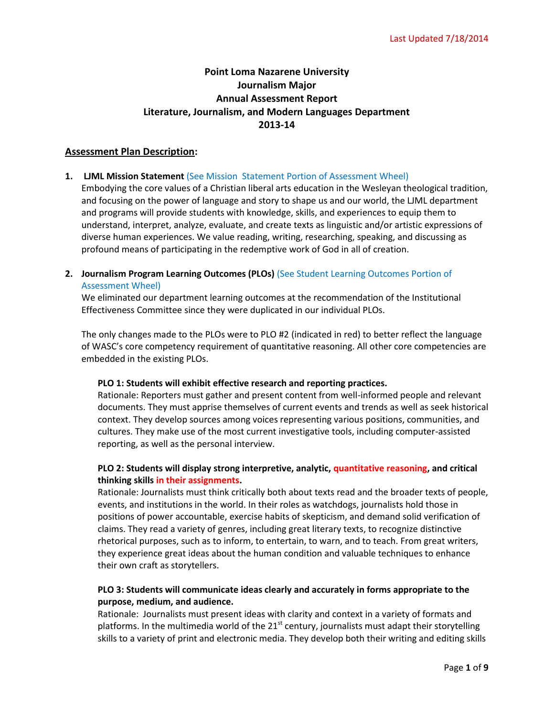# **Point Loma Nazarene University Journalism Major Annual Assessment Report Literature, Journalism, and Modern Languages Department 2013-14**

## **Assessment Plan Description:**

**1. LJML Mission Statement** (See Mission Statement Portion of Assessment Wheel)

Embodying the core values of a Christian liberal arts education in the Wesleyan theological tradition, and focusing on the power of language and story to shape us and our world, the LJML department and programs will provide students with knowledge, skills, and experiences to equip them to understand, interpret, analyze, evaluate, and create texts as linguistic and/or artistic expressions of diverse human experiences. We value reading, writing, researching, speaking, and discussing as profound means of participating in the redemptive work of God in all of creation.

**2. Journalism Program Learning Outcomes (PLOs)** (See Student Learning Outcomes Portion of Assessment Wheel)

We eliminated our department learning outcomes at the recommendation of the Institutional Effectiveness Committee since they were duplicated in our individual PLOs.

The only changes made to the PLOs were to PLO #2 (indicated in red) to better reflect the language of WASC's core competency requirement of quantitative reasoning. All other core competencies are embedded in the existing PLOs.

### **PLO 1: Students will exhibit effective research and reporting practices.**

Rationale: Reporters must gather and present content from well-informed people and relevant documents. They must apprise themselves of current events and trends as well as seek historical context. They develop sources among voices representing various positions, communities, and cultures. They make use of the most current investigative tools, including computer-assisted reporting, as well as the personal interview.

# **PLO 2: Students will display strong interpretive, analytic, quantitative reasoning, and critical thinking skills in their assignments.**

Rationale: Journalists must think critically both about texts read and the broader texts of people, events, and institutions in the world. In their roles as watchdogs, journalists hold those in positions of power accountable, exercise habits of skepticism, and demand solid verification of claims. They read a variety of genres, including great literary texts, to recognize distinctive rhetorical purposes, such as to inform, to entertain, to warn, and to teach. From great writers, they experience great ideas about the human condition and valuable techniques to enhance their own craft as storytellers.

# **PLO 3: Students will communicate ideas clearly and accurately in forms appropriate to the purpose, medium, and audience.**

Rationale: Journalists must present ideas with clarity and context in a variety of formats and platforms. In the multimedia world of the  $21<sup>st</sup>$  century, journalists must adapt their storytelling skills to a variety of print and electronic media. They develop both their writing and editing skills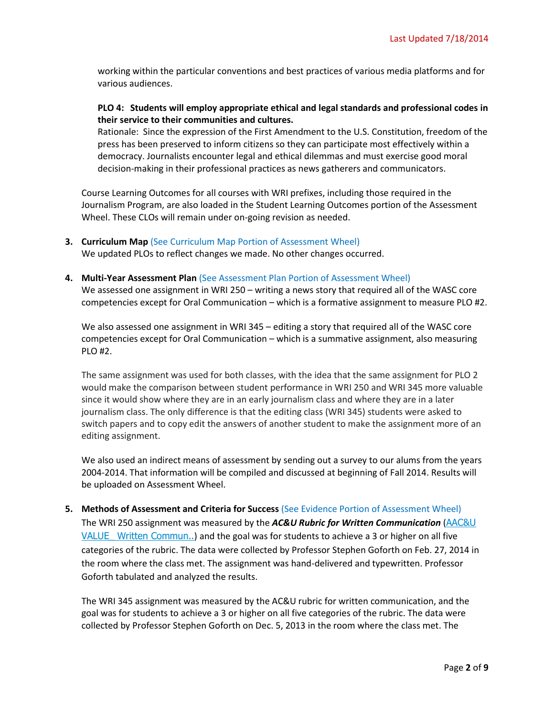working within the particular conventions and best practices of various media platforms and for various audiences.

## **PLO 4: Students will employ appropriate ethical and legal standards and professional codes in their service to their communities and cultures.**

Rationale: Since the expression of the First Amendment to the U.S. Constitution, freedom of the press has been preserved to inform citizens so they can participate most effectively within a democracy. Journalists encounter legal and ethical dilemmas and must exercise good moral decision-making in their professional practices as news gatherers and communicators.

Course Learning Outcomes for all courses with WRI prefixes, including those required in the Journalism Program, are also loaded in the Student Learning Outcomes portion of the Assessment Wheel. These CLOs will remain under on-going revision as needed.

**3. Curriculum Map (See Curriculum Map Portion of Assessment Wheel)** 

We updated PLOs to reflect changes we made. No other changes occurred.

### **4. Multi-Year Assessment Plan** (See Assessment Plan Portion of Assessment Wheel)

We assessed one assignment in WRI 250 – writing a news story that required all of the WASC core competencies except for Oral Communication – which is a formative assignment to measure PLO #2.

We also assessed one assignment in WRI 345 – editing a story that required all of the WASC core competencies except for Oral Communication – which is a summative assignment, also measuring PLO #2.

The same assignment was used for both classes, with the idea that the same assignment for PLO 2 would make the comparison between student performance in WRI 250 and WRI 345 more valuable since it would show where they are in an early journalism class and where they are in a later journalism class. The only difference is that the editing class (WRI 345) students were asked to switch papers and to copy edit the answers of another student to make the assignment more of an editing assignment.

We also used an indirect means of assessment by sending out a survey to our alums from the years 2004-2014. That information will be compiled and discussed at beginning of Fall 2014. Results will be uploaded on Assessment Wheel.

### **5. Methods of Assessment and Criteria for Success** (See Evidence Portion of Assessment Wheel)

The WRI 250 assignment was measured by the *AC&U Rubric for Written Communication* ([AAC&U](http://assessment.pointloma.edu/wp-content/uploads/2014/05/AACU-VALUE_-Written-Commun...pdf)  VALUE Written Commun..) and the goal was for students to achieve a 3 or higher on all five categories of the rubric. The data were collected by Professor Stephen Goforth on Feb. 27, 2014 in the room where the class met. The assignment was hand-delivered and typewritten. Professor Goforth tabulated and analyzed the results.

The WRI 345 assignment was measured by the AC&U rubric for written communication, and the goal was for students to achieve a 3 or higher on all five categories of the rubric. The data were collected by Professor Stephen Goforth on Dec. 5, 2013 in the room where the class met. The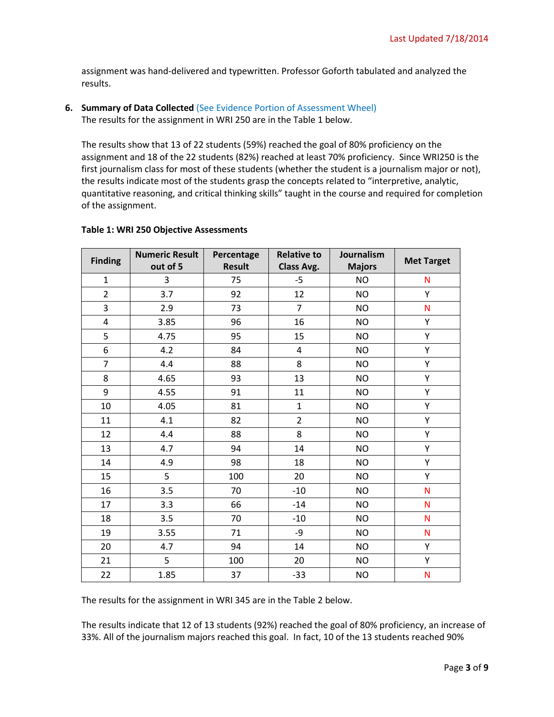assignment was hand-delivered and typewritten. Professor Goforth tabulated and analyzed the results.

# **6. Summary of Data Collected (See Evidence Portion of Assessment Wheel)**

The results for the assignment in WRI 250 are in the Table 1 below.

The results show that 13 of 22 students (59%) reached the goal of 80% proficiency on the assignment and 18 of the 22 students (82%) reached at least 70% proficiency. Since WRI250 is the first journalism class for most of these students (whether the student is a journalism major or not), the results indicate most of the students grasp the concepts related to "interpretive, analytic, quantitative reasoning, and critical thinking skills" taught in the course and required for completion of the assignment.

| <b>Finding</b> | <b>Numeric Result</b><br>out of 5 | Percentage<br><b>Result</b> | <b>Relative to</b> | Journalism    | <b>Met Target</b> |
|----------------|-----------------------------------|-----------------------------|--------------------|---------------|-------------------|
|                |                                   |                             | Class Avg.         | <b>Majors</b> |                   |
| $\mathbf{1}$   | 3                                 | 75                          | $-5$               | <b>NO</b>     | N                 |
| $\overline{2}$ | 3.7                               | 92                          | 12                 | <b>NO</b>     | Y                 |
| 3              | 2.9                               | 73                          | $\overline{7}$     | <b>NO</b>     | $\mathsf{N}$      |
| $\overline{4}$ | 3.85                              | 96                          | 16                 | <b>NO</b>     | Y                 |
| 5              | 4.75                              | 95                          | 15                 | <b>NO</b>     | Υ                 |
| 6              | 4.2                               | 84                          | $\overline{4}$     | <b>NO</b>     | Υ                 |
| $\overline{7}$ | 4.4                               | 88                          | 8                  | <b>NO</b>     | Y                 |
| 8              | 4.65                              | 93                          | 13                 | <b>NO</b>     | Υ                 |
| 9              | 4.55                              | 91                          | 11                 | <b>NO</b>     | Y                 |
| 10             | 4.05                              | 81                          | $\mathbf{1}$       | <b>NO</b>     | Υ                 |
| 11             | 4.1                               | 82                          | $\overline{2}$     | <b>NO</b>     | Y                 |
| 12             | 4.4                               | 88                          | 8                  | <b>NO</b>     | Υ                 |
| 13             | 4.7                               | 94                          | 14                 | <b>NO</b>     | Y                 |
| 14             | 4.9                               | 98                          | 18                 | <b>NO</b>     | Υ                 |
| 15             | 5                                 | 100                         | 20                 | <b>NO</b>     | Υ                 |
| 16             | 3.5                               | 70                          | $-10$              | <b>NO</b>     | N                 |
| 17             | 3.3                               | 66                          | $-14$              | <b>NO</b>     | $\mathsf{N}$      |
| 18             | 3.5                               | 70                          | $-10$              | <b>NO</b>     | N                 |
| 19             | 3.55                              | 71                          | -9                 | <b>NO</b>     | N                 |
| 20             | 4.7                               | 94                          | 14                 | <b>NO</b>     | Y                 |
| 21             | 5                                 | 100                         | 20                 | <b>NO</b>     | Υ                 |
| 22             | 1.85                              | 37                          | $-33$              | <b>NO</b>     | $\mathsf{N}$      |

# **Table 1: WRI 250 Objective Assessments**

The results for the assignment in WRI 345 are in the Table 2 below.

The results indicate that 12 of 13 students (92%) reached the goal of 80% proficiency, an increase of 33%. All of the journalism majors reached this goal. In fact, 10 of the 13 students reached 90%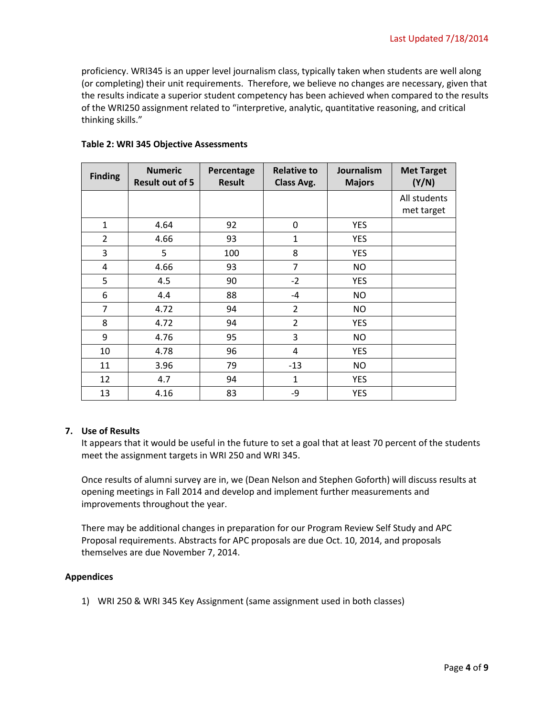proficiency. WRI345 is an upper level journalism class, typically taken when students are well along (or completing) their unit requirements. Therefore, we believe no changes are necessary, given that the results indicate a superior student competency has been achieved when compared to the results of the WRI250 assignment related to "interpretive, analytic, quantitative reasoning, and critical thinking skills."

| <b>Finding</b> | <b>Numeric</b><br><b>Result out of 5</b> | Percentage<br><b>Result</b> | <b>Relative to</b><br>Class Avg. | <b>Journalism</b><br><b>Majors</b> | <b>Met Target</b><br>(Y/N) |
|----------------|------------------------------------------|-----------------------------|----------------------------------|------------------------------------|----------------------------|
|                |                                          |                             |                                  |                                    | All students<br>met target |
| 1              | 4.64                                     | 92                          | 0                                | <b>YES</b>                         |                            |
| $\overline{2}$ | 4.66                                     | 93                          | $\mathbf{1}$                     | <b>YES</b>                         |                            |
| 3              | 5                                        | 100                         | 8                                | <b>YES</b>                         |                            |
| 4              | 4.66                                     | 93                          | $\overline{7}$                   | NO                                 |                            |
| 5              | 4.5                                      | 90                          | $-2$                             | <b>YES</b>                         |                            |
| 6              | 4.4                                      | 88                          | $-4$                             | <b>NO</b>                          |                            |
| 7              | 4.72                                     | 94                          | $\overline{2}$                   | <b>NO</b>                          |                            |
| 8              | 4.72                                     | 94                          | $\overline{2}$                   | <b>YES</b>                         |                            |
| 9              | 4.76                                     | 95                          | 3                                | <b>NO</b>                          |                            |
| 10             | 4.78                                     | 96                          | 4                                | <b>YES</b>                         |                            |
| 11             | 3.96                                     | 79                          | $-13$                            | <b>NO</b>                          |                            |
| 12             | 4.7                                      | 94                          | $\mathbf{1}$                     | <b>YES</b>                         |                            |
| 13             | 4.16                                     | 83                          | -9                               | <b>YES</b>                         |                            |

## **Table 2: WRI 345 Objective Assessments**

### **7. Use of Results**

It appears that it would be useful in the future to set a goal that at least 70 percent of the students meet the assignment targets in WRI 250 and WRI 345.

Once results of alumni survey are in, we (Dean Nelson and Stephen Goforth) will discuss results at opening meetings in Fall 2014 and develop and implement further measurements and improvements throughout the year.

There may be additional changes in preparation for our Program Review Self Study and APC Proposal requirements. Abstracts for APC proposals are due Oct. 10, 2014, and proposals themselves are due November 7, 2014.

### **Appendices**

1) WRI 250 & WRI 345 Key Assignment (same assignment used in both classes)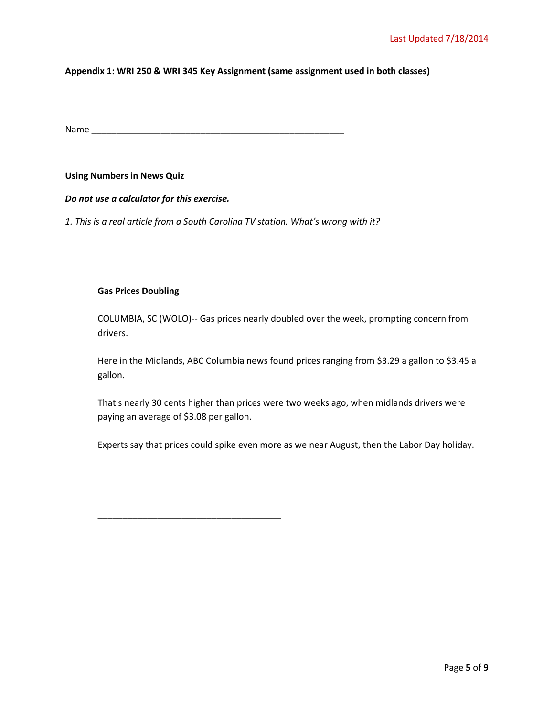### **Appendix 1: WRI 250 & WRI 345 Key Assignment (same assignment used in both classes)**

Name \_\_\_\_\_\_\_\_\_\_\_\_\_\_\_\_\_\_\_\_\_\_\_\_\_\_\_\_\_\_\_\_\_\_\_\_\_\_\_\_\_\_\_\_\_\_\_\_\_\_\_

### **Using Numbers in News Quiz**

### *Do not use a calculator for this exercise.*

*1. This is a real article from a South Carolina TV station. What's wrong with it?*

\_\_\_\_\_\_\_\_\_\_\_\_\_\_\_\_\_\_\_\_\_\_\_\_\_\_\_\_\_\_\_\_\_\_\_\_\_

### **Gas Prices Doubling**

COLUMBIA, SC (WOLO)-- Gas prices nearly doubled over the week, prompting concern from drivers.

Here in the Midlands, ABC Columbia news found prices ranging from \$3.29 a gallon to \$3.45 a gallon.

That's nearly 30 cents higher than prices were two weeks ago, when midlands drivers were paying an average of \$3.08 per gallon.

Experts say that prices could spike even more as we near August, then the Labor Day holiday.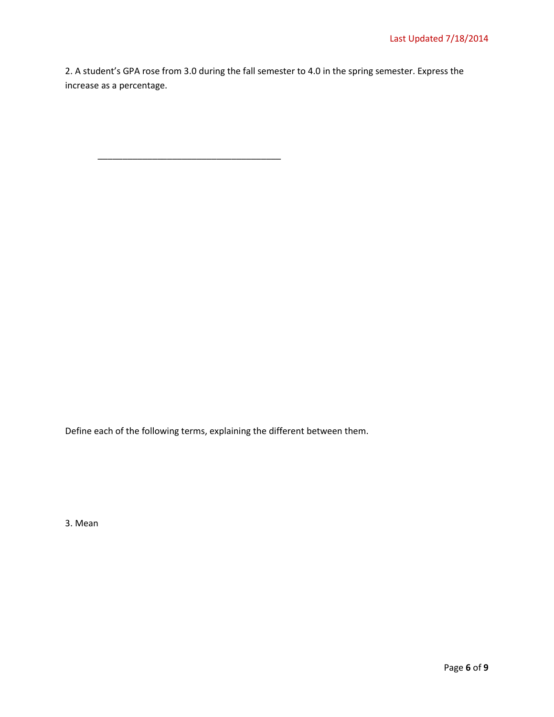2. A student's GPA rose from 3.0 during the fall semester to 4.0 in the spring semester. Express the increase as a percentage.

Define each of the following terms, explaining the different between them.

\_\_\_\_\_\_\_\_\_\_\_\_\_\_\_\_\_\_\_\_\_\_\_\_\_\_\_\_\_\_\_\_\_\_\_\_\_

3. Mean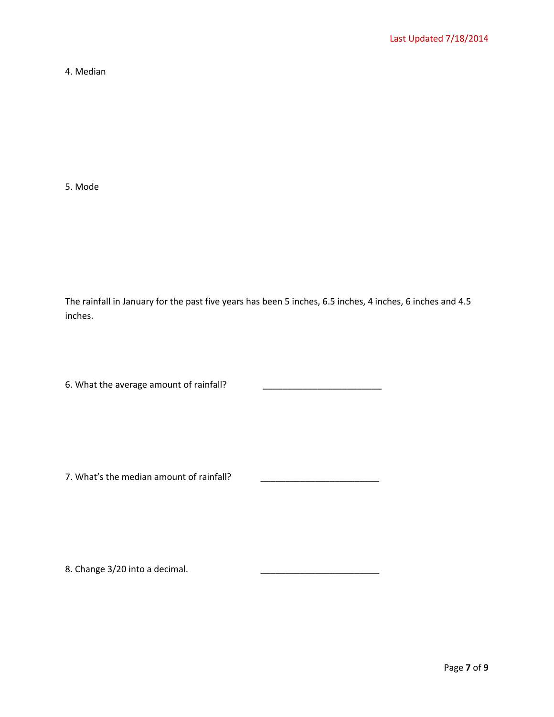4. Median

5. Mode

The rainfall in January for the past five years has been 5 inches, 6.5 inches, 4 inches, 6 inches and 4.5 inches.

6. What the average amount of rainfall? \_\_\_\_\_\_\_\_\_\_\_\_\_\_\_\_\_\_\_\_\_\_\_\_

7. What's the median amount of rainfall?

8. Change 3/20 into a decimal.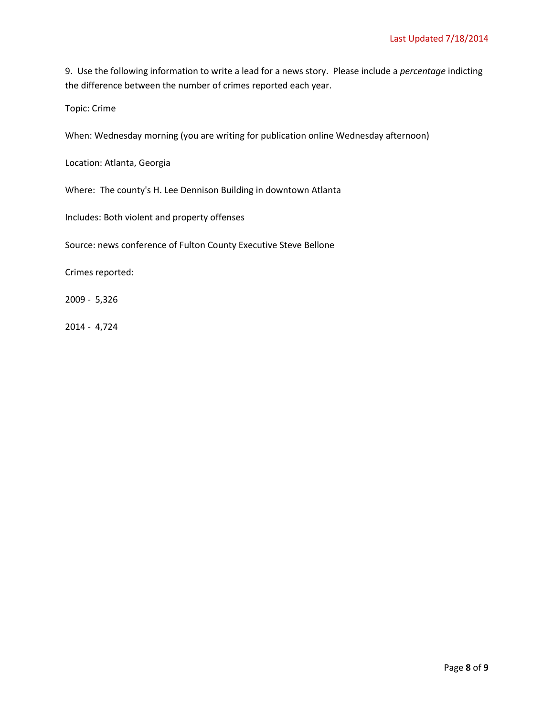9.Use the following information to write a lead for a news story. Please include a *percentage* indicting the difference between the number of crimes reported each year.

Topic: Crime

When: Wednesday morning (you are writing for publication online Wednesday afternoon)

Location: Atlanta, Georgia

Where: The county's H. Lee Dennison Building in downtown Atlanta

Includes: Both violent and property offenses

Source: news conference of Fulton County Executive Steve Bellone

Crimes reported:

2009 - 5,326

2014 - 4,724